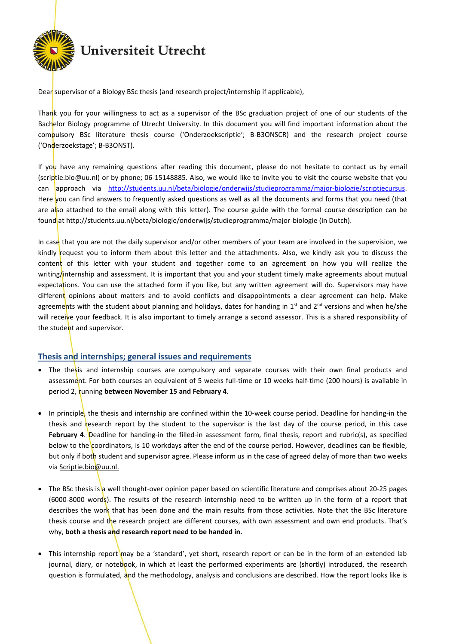

Dear supervisor of a Biology BSc thesis (and research project/internship if applicable),

Thank you for your willingness to act as a supervisor of the BSc graduation project of one of our students of the Bachelor Biology programme of Utrecht University. In this document you will find important information about the compulsory BSc literature thesis course ('Onderzoekscriptie'; B-B3ONSCR) and the research project course ('Onderzoekstage'; B-B3ONST).

If you have any remaining questions after reading this document, please do not hesitate to contact us by email (scriptie.bio@uu.nl) or by phone; 06-15148885. Also, we would like to invite you to visit the course website that you can approach via http://students.uu.nl/beta/biologie/onderwijs/studieprogramma/major-biologie/scriptiecursus. Here you can find answers to frequently asked questions as well as all the documents and forms that you need (that are also attached to the email along with this letter). The course guide with the formal course description can be found at http://students.uu.nl/beta/biologie/onderwijs/studieprogramma/major-biologie (in Dutch).

In case that you are not the daily supervisor and/or other members of your team are involved in the supervision, we kindly request you to inform them about this letter and the attachments. Also, we kindly ask you to discuss the content of this letter with your student and together come to an agreement on how you will realize the writing/internship and assessment. It is important that you and your student timely make agreements about mutual expectations. You can use the attached form if you like, but any written agreement will do. Supervisors may have different opinions about matters and to avoid conflicts and disappointments a clear agreement can help. Make agreements with the student about planning and holidays, dates for handing in 1<sup>st</sup> and 2<sup>nd</sup> versions and when he/she will receive your feedback. It is also important to timely arrange a second assessor. This is a shared responsibility of the student and supervisor.

## Thesis and internships; general issues and requirements

- The thesis and internship courses are compulsory and separate courses with their own final products and assessment. For both courses an equivalent of 5 weeks full-time or 10 weeks half-time (200 hours) is available in period 2, running between November 15 and February 4.
- In principle, the thesis and internship are confined within the 10-week course period. Deadline for handing-in the thesis and research report by the student to the supervisor is the last day of the course period, in this case February 4. Deadline for handing-in the filled-in assessment form, final thesis, report and rubric(s), as specified below to the coordinators, is 10 workdays after the end of the course period. However, deadlines can be flexible, but only if both student and supervisor agree. Please inform us in the case of agreed delay of more than two weeks via Scriptie.bio@uu.nl.
- The BSc thesis is a well thought-over opinion paper based on scientific literature and comprises about 20-25 pages (6000-8000 words). The results of the research internship need to be written up in the form of a report that describes the work that has been done and the main results from those activities. Note that the BSc literature thesis course and the research project are different courses, with own assessment and own end products. That's  $w$ hy, both a thesis and research report need to be handed in.
- This internship report may be a 'standard', yet short, research report or can be in the form of an extended lab journal, diary, or notebook, in which at least the performed experiments are (shortly) introduced, the research question is formulated, and the methodology, analysis and conclusions are described. How the report looks like is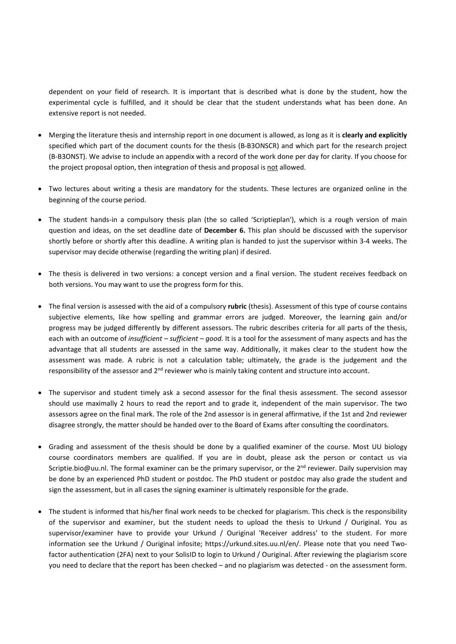dependent on your field of research. It is important that is described what is done by the student, how the experimental cycle is fulfilled, and it should be clear that the student understands what has been done. An extensive report is not needed.

- Merging the literature thesis and internship report in one document is allowed, as long as it is clearly and explicitly specified which part of the document counts for the thesis (B-B3ONSCR) and which part for the research project (B-B3ONST). We advise to include an appendix with a record of the work done per day for clarity. If you choose for the project proposal option, then integration of thesis and proposal is not allowed.
- Two lectures about writing a thesis are mandatory for the students. These lectures are organized online in the beginning of the course period.
- The student hands-in a compulsory thesis plan (the so called 'Scriptieplan'), which is a rough version of main question and ideas, on the set deadline date of December 6. This plan should be discussed with the supervisor shortly before or shortly after this deadline. A writing plan is handed to just the supervisor within 3-4 weeks. The supervisor may decide otherwise (regarding the writing plan) if desired.
- The thesis is delivered in two versions: a concept version and a final version. The student receives feedback on both versions. You may want to use the progress form for this.
- The final version is assessed with the aid of a compulsory rubric (thesis). Assessment of this type of course contains subjective elements, like how spelling and grammar errors are judged. Moreover, the learning gain and/or progress may be judged differently by different assessors. The rubric describes criteria for all parts of the thesis, each with an outcome of insufficient – sufficient – good. It is a tool for the assessment of many aspects and has the advantage that all students are assessed in the same way. Additionally, it makes clear to the student how the assessment was made. A rubric is not a calculation table; ultimately, the grade is the judgement and the responsibility of the assessor and 2<sup>nd</sup> reviewer who is mainly taking content and structure into account.
- The supervisor and student timely ask a second assessor for the final thesis assessment. The second assessor should use maximally 2 hours to read the report and to grade it, independent of the main supervisor. The two assessors agree on the final mark. The role of the 2nd assessor is in general affirmative, if the 1st and 2nd reviewer disagree strongly, the matter should be handed over to the Board of Exams after consulting the coordinators.
- Grading and assessment of the thesis should be done by a qualified examiner of the course. Most UU biology course coordinators members are qualified. If you are in doubt, please ask the person or contact us via Scriptie.bio@uu.nl. The formal examiner can be the primary supervisor, or the  $2^{nd}$  reviewer. Daily supervision may be done by an experienced PhD student or postdoc. The PhD student or postdoc may also grade the student and sign the assessment, but in all cases the signing examiner is ultimately responsible for the grade.
- The student is informed that his/her final work needs to be checked for plagiarism. This check is the responsibility of the supervisor and examiner, but the student needs to upload the thesis to Urkund / Ouriginal. You as supervisor/examiner have to provide your Urkund / Ouriginal 'Receiver address' to the student. For more information see the Urkund / Ouriginal infosite; https://urkund.sites.uu.nl/en/. Please note that you need Twofactor authentication (2FA) next to your SolisID to login to Urkund / Ouriginal. After reviewing the plagiarism score you need to declare that the report has been checked – and no plagiarism was detected - on the assessment form.